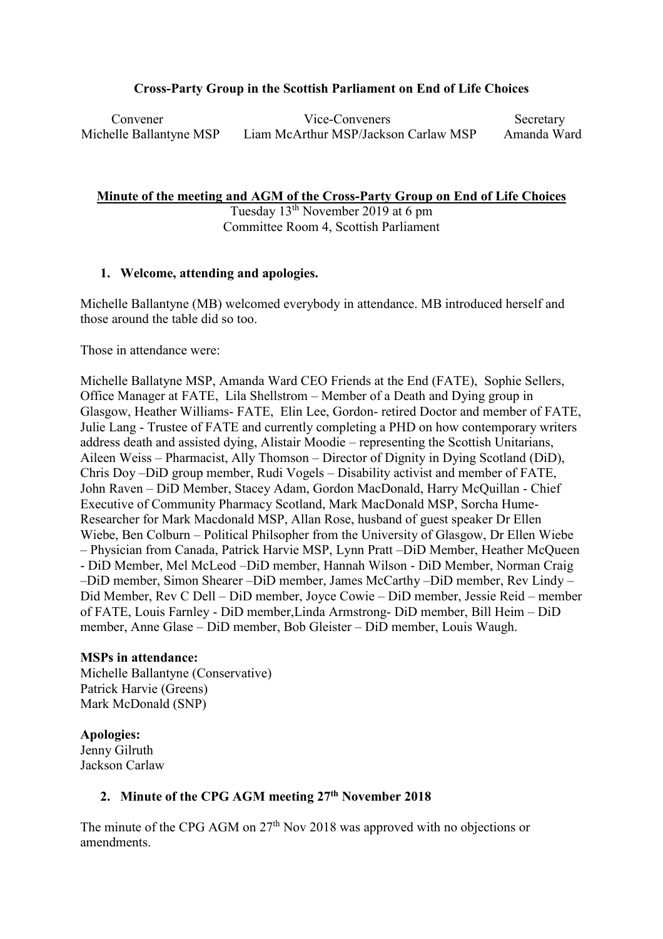# **Cross-Party Group in the Scottish Parliament on End of Life Choices**

 Convener Vice-Conveners Secretary Michelle Ballantyne MSP Liam McArthur MSP/Jackson Carlaw MSP Amanda Ward

**Minute of the meeting and AGM of the Cross-Party Group on End of Life Choices**

Tuesday 13th November 2019 at 6 pm Committee Room 4, Scottish Parliament

# **1. Welcome, attending and apologies.**

Michelle Ballantyne (MB) welcomed everybody in attendance. MB introduced herself and those around the table did so too.

Those in attendance were:

Michelle Ballatyne MSP, Amanda Ward CEO Friends at the End (FATE), Sophie Sellers, Office Manager at FATE, Lila Shellstrom – Member of a Death and Dying group in Glasgow, Heather Williams- FATE, Elin Lee, Gordon- retired Doctor and member of FATE, Julie Lang - Trustee of FATE and currently completing a PHD on how contemporary writers address death and assisted dying, Alistair Moodie – representing the Scottish Unitarians, Aileen Weiss – Pharmacist, Ally Thomson – Director of Dignity in Dying Scotland (DiD), Chris Doy –DiD group member, Rudi Vogels – Disability activist and member of FATE, John Raven – DiD Member, Stacey Adam, Gordon MacDonald, Harry McQuillan - Chief Executive of Community Pharmacy Scotland, Mark MacDonald MSP, Sorcha Hume-Researcher for Mark Macdonald MSP, Allan Rose, husband of guest speaker Dr Ellen Wiebe, Ben Colburn – Political Philsopher from the University of Glasgow, Dr Ellen Wiebe – Physician from Canada, Patrick Harvie MSP, Lynn Pratt –DiD Member, Heather McQueen - DiD Member, Mel McLeod –DiD member, Hannah Wilson - DiD Member, Norman Craig –DiD member, Simon Shearer –DiD member, James McCarthy –DiD member, Rev Lindy – Did Member, Rev C Dell – DiD member, Joyce Cowie – DiD member, Jessie Reid – member of FATE, Louis Farnley - DiD member,Linda Armstrong- DiD member, Bill Heim – DiD member, Anne Glase – DiD member, Bob Gleister – DiD member, Louis Waugh.

# **MSPs in attendance:**

Michelle Ballantyne (Conservative) Patrick Harvie (Greens) Mark McDonald (SNP)

# **Apologies:**

Jenny Gilruth Jackson Carlaw

# **2. Minute of the CPG AGM meeting 27th November 2018**

The minute of the CPG AGM on  $27<sup>th</sup>$  Nov 2018 was approved with no objections or amendments.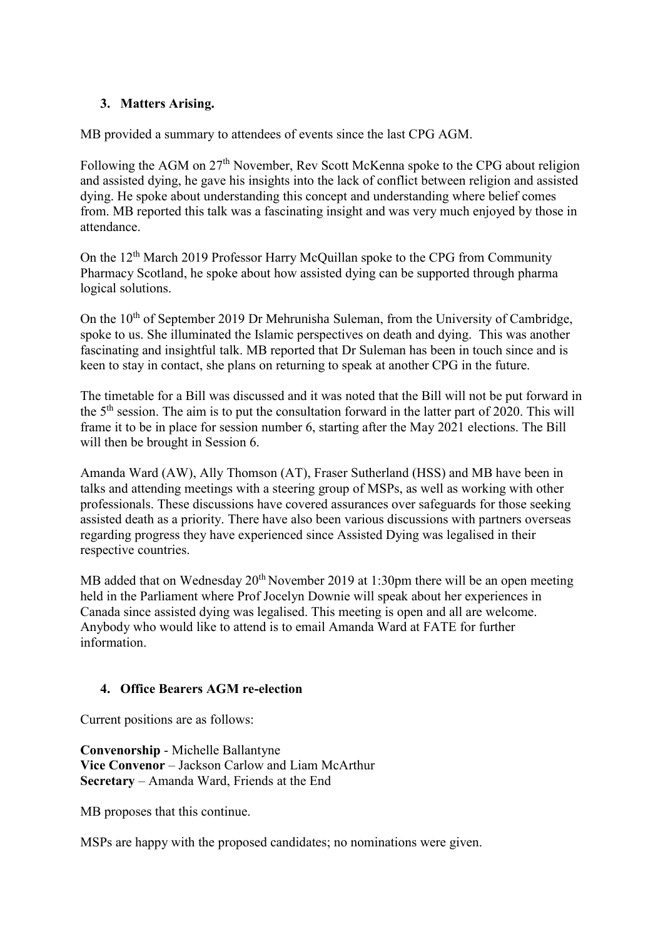# **3. Matters Arising.**

MB provided a summary to attendees of events since the last CPG AGM.

Following the AGM on 27<sup>th</sup> November, Rev Scott McKenna spoke to the CPG about religion and assisted dying, he gave his insights into the lack of conflict between religion and assisted dying. He spoke about understanding this concept and understanding where belief comes from. MB reported this talk was a fascinating insight and was very much enjoyed by those in attendance.

On the 12th March 2019 Professor Harry McQuillan spoke to the CPG from Community Pharmacy Scotland, he spoke about how assisted dying can be supported through pharma logical solutions.

On the  $10<sup>th</sup>$  of September 2019 Dr Mehrunisha Suleman, from the University of Cambridge, spoke to us. She illuminated the Islamic perspectives on death and dying. This was another fascinating and insightful talk. MB reported that Dr Suleman has been in touch since and is keen to stay in contact, she plans on returning to speak at another CPG in the future.

The timetable for a Bill was discussed and it was noted that the Bill will not be put forward in the 5th session. The aim is to put the consultation forward in the latter part of 2020. This will frame it to be in place for session number 6, starting after the May 2021 elections. The Bill will then be brought in Session 6.

Amanda Ward (AW), Ally Thomson (AT), Fraser Sutherland (HSS) and MB have been in talks and attending meetings with a steering group of MSPs, as well as working with other professionals. These discussions have covered assurances over safeguards for those seeking assisted death as a priority. There have also been various discussions with partners overseas regarding progress they have experienced since Assisted Dying was legalised in their respective countries.

MB added that on Wednesday  $20<sup>th</sup>$  November 2019 at 1:30pm there will be an open meeting held in the Parliament where Prof Jocelyn Downie will speak about her experiences in Canada since assisted dying was legalised. This meeting is open and all are welcome. Anybody who would like to attend is to email Amanda Ward at FATE for further information.

# **4. Office Bearers AGM re-election**

Current positions are as follows:

**Convenorship** - Michelle Ballantyne **Vice Convenor** – Jackson Carlow and Liam McArthur **Secretary** – Amanda Ward, Friends at the End

MB proposes that this continue.

MSPs are happy with the proposed candidates; no nominations were given.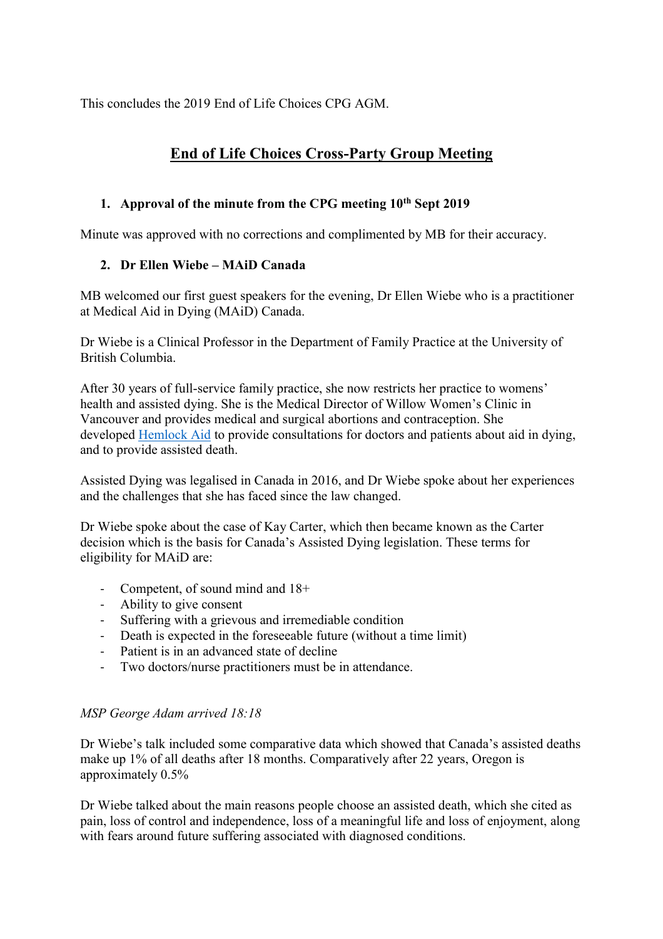This concludes the 2019 End of Life Choices CPG AGM.

# **End of Life Choices Cross-Party Group Meeting**

# **1. Approval of the minute from the CPG meeting 10th Sept 2019**

Minute was approved with no corrections and complimented by MB for their accuracy.

# **2. Dr Ellen Wiebe – MAiD Canada**

MB welcomed our first guest speakers for the evening, Dr Ellen Wiebe who is a practitioner at Medical Aid in Dying (MAiD) Canada.

Dr Wiebe is a Clinical Professor in the Department of Family Practice at the University of British Columbia.

After 30 years of full-service family practice, she now restricts her practice to womens' health and assisted dying. She is the Medical Director of Willow Women's Clinic in Vancouver and provides medical and surgical abortions and contraception. She developed [Hemlock Aid](http://hemlockaid.ca/) to provide consultations for doctors and patients about aid in dying, and to provide assisted death.

Assisted Dying was legalised in Canada in 2016, and Dr Wiebe spoke about her experiences and the challenges that she has faced since the law changed.

Dr Wiebe spoke about the case of Kay Carter, which then became known as the Carter decision which is the basis for Canada's Assisted Dying legislation. These terms for eligibility for MAiD are:

- Competent, of sound mind and 18+
- Ability to give consent
- Suffering with a grievous and irremediable condition
- Death is expected in the foreseeable future (without a time limit)
- Patient is in an advanced state of decline
- Two doctors/nurse practitioners must be in attendance.

# *MSP George Adam arrived 18:18*

Dr Wiebe's talk included some comparative data which showed that Canada's assisted deaths make up 1% of all deaths after 18 months. Comparatively after 22 years, Oregon is approximately 0.5%

Dr Wiebe talked about the main reasons people choose an assisted death, which she cited as pain, loss of control and independence, loss of a meaningful life and loss of enjoyment, along with fears around future suffering associated with diagnosed conditions.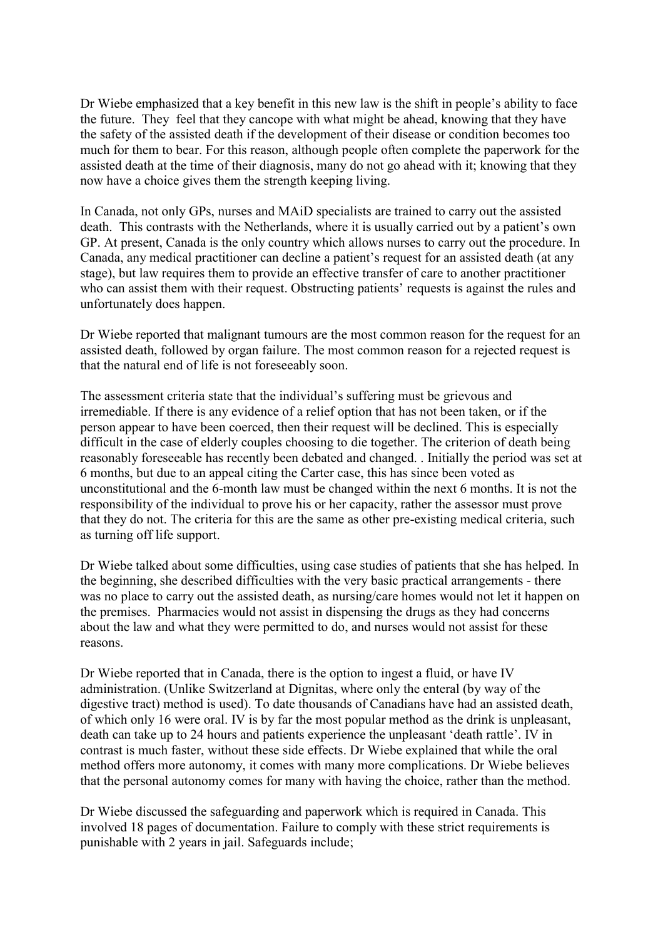Dr Wiebe emphasized that a key benefit in this new law is the shift in people's ability to face the future. They feel that they cancope with what might be ahead, knowing that they have the safety of the assisted death if the development of their disease or condition becomes too much for them to bear. For this reason, although people often complete the paperwork for the assisted death at the time of their diagnosis, many do not go ahead with it; knowing that they now have a choice gives them the strength keeping living.

In Canada, not only GPs, nurses and MAiD specialists are trained to carry out the assisted death. This contrasts with the Netherlands, where it is usually carried out by a patient's own GP. At present, Canada is the only country which allows nurses to carry out the procedure. In Canada, any medical practitioner can decline a patient's request for an assisted death (at any stage), but law requires them to provide an effective transfer of care to another practitioner who can assist them with their request. Obstructing patients' requests is against the rules and unfortunately does happen.

Dr Wiebe reported that malignant tumours are the most common reason for the request for an assisted death, followed by organ failure. The most common reason for a rejected request is that the natural end of life is not foreseeably soon.

The assessment criteria state that the individual's suffering must be grievous and irremediable. If there is any evidence of a relief option that has not been taken, or if the person appear to have been coerced, then their request will be declined. This is especially difficult in the case of elderly couples choosing to die together. The criterion of death being reasonably foreseeable has recently been debated and changed. . Initially the period was set at 6 months, but due to an appeal citing the Carter case, this has since been voted as unconstitutional and the 6-month law must be changed within the next 6 months. It is not the responsibility of the individual to prove his or her capacity, rather the assessor must prove that they do not. The criteria for this are the same as other pre-existing medical criteria, such as turning off life support.

Dr Wiebe talked about some difficulties, using case studies of patients that she has helped. In the beginning, she described difficulties with the very basic practical arrangements - there was no place to carry out the assisted death, as nursing/care homes would not let it happen on the premises. Pharmacies would not assist in dispensing the drugs as they had concerns about the law and what they were permitted to do, and nurses would not assist for these reasons.

Dr Wiebe reported that in Canada, there is the option to ingest a fluid, or have IV administration. (Unlike Switzerland at Dignitas, where only the enteral (by way of the digestive tract) method is used). To date thousands of Canadians have had an assisted death, of which only 16 were oral. IV is by far the most popular method as the drink is unpleasant, death can take up to 24 hours and patients experience the unpleasant 'death rattle'. IV in contrast is much faster, without these side effects. Dr Wiebe explained that while the oral method offers more autonomy, it comes with many more complications. Dr Wiebe believes that the personal autonomy comes for many with having the choice, rather than the method.

Dr Wiebe discussed the safeguarding and paperwork which is required in Canada. This involved 18 pages of documentation. Failure to comply with these strict requirements is punishable with 2 years in jail. Safeguards include;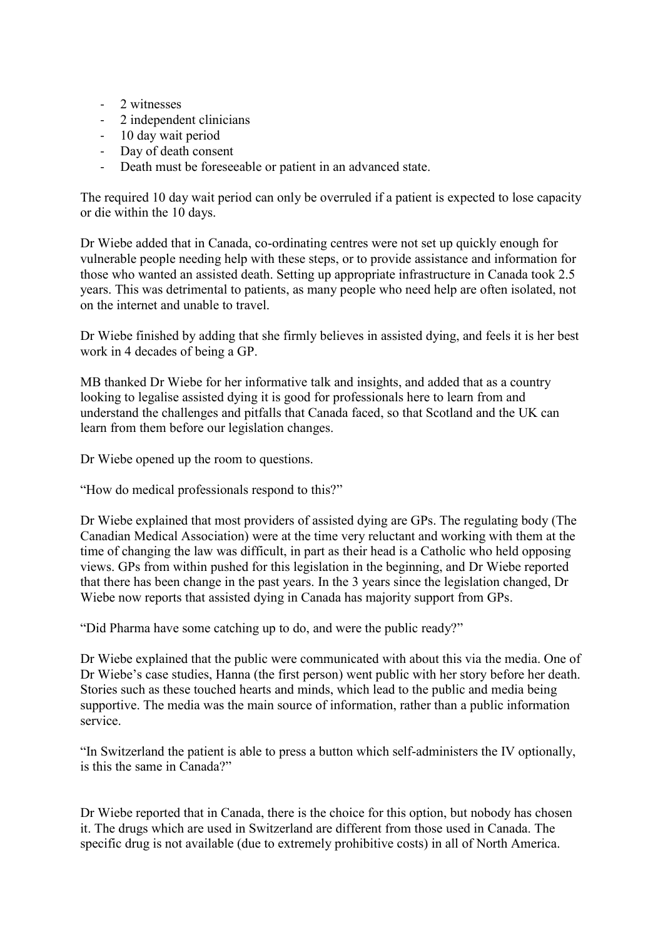- 2 witnesses
- 2 independent clinicians
- 10 day wait period
- Day of death consent
- Death must be foreseeable or patient in an advanced state.

The required 10 day wait period can only be overruled if a patient is expected to lose capacity or die within the 10 days.

Dr Wiebe added that in Canada, co-ordinating centres were not set up quickly enough for vulnerable people needing help with these steps, or to provide assistance and information for those who wanted an assisted death. Setting up appropriate infrastructure in Canada took 2.5 years. This was detrimental to patients, as many people who need help are often isolated, not on the internet and unable to travel.

Dr Wiebe finished by adding that she firmly believes in assisted dying, and feels it is her best work in 4 decades of being a GP.

MB thanked Dr Wiebe for her informative talk and insights, and added that as a country looking to legalise assisted dying it is good for professionals here to learn from and understand the challenges and pitfalls that Canada faced, so that Scotland and the UK can learn from them before our legislation changes.

Dr Wiebe opened up the room to questions.

"How do medical professionals respond to this?"

Dr Wiebe explained that most providers of assisted dying are GPs. The regulating body (The Canadian Medical Association) were at the time very reluctant and working with them at the time of changing the law was difficult, in part as their head is a Catholic who held opposing views. GPs from within pushed for this legislation in the beginning, and Dr Wiebe reported that there has been change in the past years. In the 3 years since the legislation changed, Dr Wiebe now reports that assisted dying in Canada has majority support from GPs.

"Did Pharma have some catching up to do, and were the public ready?"

Dr Wiebe explained that the public were communicated with about this via the media. One of Dr Wiebe's case studies, Hanna (the first person) went public with her story before her death. Stories such as these touched hearts and minds, which lead to the public and media being supportive. The media was the main source of information, rather than a public information service.

"In Switzerland the patient is able to press a button which self-administers the IV optionally, is this the same in Canada?"

Dr Wiebe reported that in Canada, there is the choice for this option, but nobody has chosen it. The drugs which are used in Switzerland are different from those used in Canada. The specific drug is not available (due to extremely prohibitive costs) in all of North America.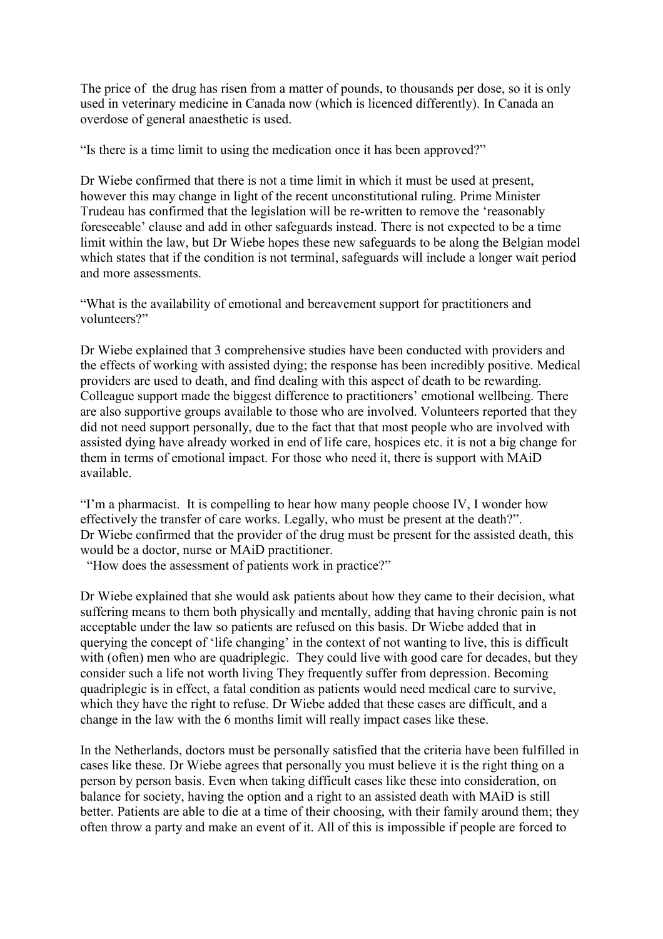The price of the drug has risen from a matter of pounds, to thousands per dose, so it is only used in veterinary medicine in Canada now (which is licenced differently). In Canada an overdose of general anaesthetic is used.

"Is there is a time limit to using the medication once it has been approved?"

Dr Wiebe confirmed that there is not a time limit in which it must be used at present, however this may change in light of the recent unconstitutional ruling. Prime Minister Trudeau has confirmed that the legislation will be re-written to remove the 'reasonably foreseeable' clause and add in other safeguards instead. There is not expected to be a time limit within the law, but Dr Wiebe hopes these new safeguards to be along the Belgian model which states that if the condition is not terminal, safeguards will include a longer wait period and more assessments.

"What is the availability of emotional and bereavement support for practitioners and volunteers?"

Dr Wiebe explained that 3 comprehensive studies have been conducted with providers and the effects of working with assisted dying; the response has been incredibly positive. Medical providers are used to death, and find dealing with this aspect of death to be rewarding. Colleague support made the biggest difference to practitioners' emotional wellbeing. There are also supportive groups available to those who are involved. Volunteers reported that they did not need support personally, due to the fact that that most people who are involved with assisted dying have already worked in end of life care, hospices etc. it is not a big change for them in terms of emotional impact. For those who need it, there is support with MAiD available.

"I'm a pharmacist. It is compelling to hear how many people choose IV, I wonder how effectively the transfer of care works. Legally, who must be present at the death?". Dr Wiebe confirmed that the provider of the drug must be present for the assisted death, this would be a doctor, nurse or MAiD practitioner.

"How does the assessment of patients work in practice?"

Dr Wiebe explained that she would ask patients about how they came to their decision, what suffering means to them both physically and mentally, adding that having chronic pain is not acceptable under the law so patients are refused on this basis. Dr Wiebe added that in querying the concept of 'life changing' in the context of not wanting to live, this is difficult with (often) men who are quadriplegic. They could live with good care for decades, but they consider such a life not worth living They frequently suffer from depression. Becoming quadriplegic is in effect, a fatal condition as patients would need medical care to survive, which they have the right to refuse. Dr Wiebe added that these cases are difficult, and a change in the law with the 6 months limit will really impact cases like these.

In the Netherlands, doctors must be personally satisfied that the criteria have been fulfilled in cases like these. Dr Wiebe agrees that personally you must believe it is the right thing on a person by person basis. Even when taking difficult cases like these into consideration, on balance for society, having the option and a right to an assisted death with MAiD is still better. Patients are able to die at a time of their choosing, with their family around them; they often throw a party and make an event of it. All of this is impossible if people are forced to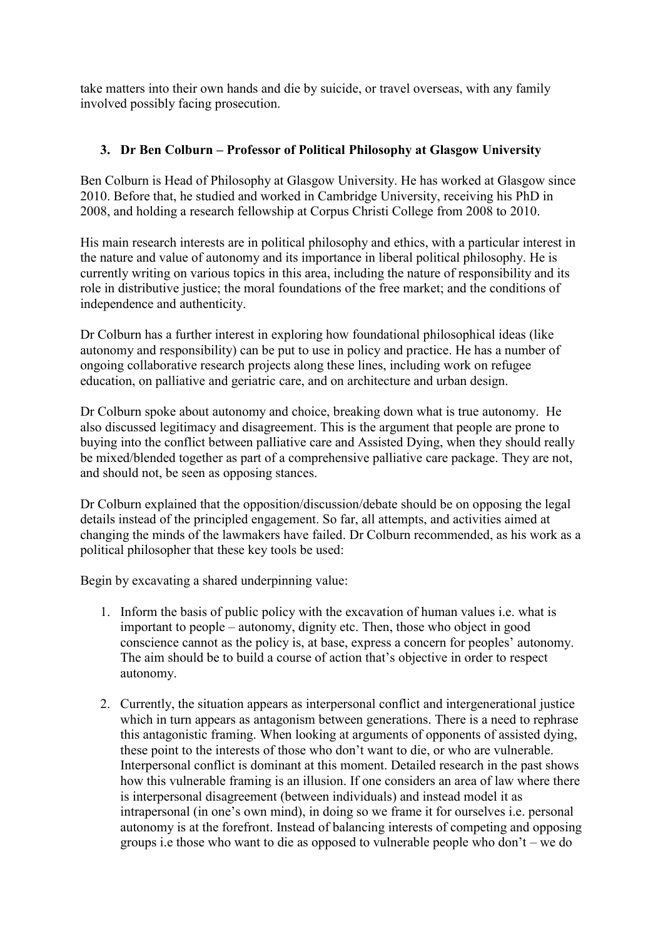take matters into their own hands and die by suicide, or travel overseas, with any family involved possibly facing prosecution.

# **3. Dr Ben Colburn – Professor of Political Philosophy at Glasgow University**

Ben Colburn is Head of Philosophy at Glasgow University. He has worked at Glasgow since 2010. Before that, he studied and worked in Cambridge University, receiving his PhD in 2008, and holding a research fellowship at Corpus Christi College from 2008 to 2010.

His main research interests are in political philosophy and ethics, with a particular interest in the nature and value of autonomy and its importance in liberal political philosophy. He is currently writing on various topics in this area, including the nature of responsibility and its role in distributive justice; the moral foundations of the free market; and the conditions of independence and authenticity.

Dr Colburn has a further interest in exploring how foundational philosophical ideas (like autonomy and responsibility) can be put to use in policy and practice. He has a number of ongoing collaborative research projects along these lines, including work on refugee education, on palliative and geriatric care, and on architecture and urban design.

Dr Colburn spoke about autonomy and choice, breaking down what is true autonomy. He also discussed legitimacy and disagreement. This is the argument that people are prone to buying into the conflict between palliative care and Assisted Dying, when they should really be mixed/blended together as part of a comprehensive palliative care package. They are not, and should not, be seen as opposing stances.

Dr Colburn explained that the opposition/discussion/debate should be on opposing the legal details instead of the principled engagement. So far, all attempts, and activities aimed at changing the minds of the lawmakers have failed. Dr Colburn recommended, as his work as a political philosopher that these key tools be used:

Begin by excavating a shared underpinning value:

- 1. Inform the basis of public policy with the excavation of human values i.e. what is important to people – autonomy, dignity etc. Then, those who object in good conscience cannot as the policy is, at base, express a concern for peoples' autonomy. The aim should be to build a course of action that's objective in order to respect autonomy.
- 2. Currently, the situation appears as interpersonal conflict and intergenerational justice which in turn appears as antagonism between generations. There is a need to rephrase this antagonistic framing. When looking at arguments of opponents of assisted dying, these point to the interests of those who don't want to die, or who are vulnerable. Interpersonal conflict is dominant at this moment. Detailed research in the past shows how this vulnerable framing is an illusion. If one considers an area of law where there is interpersonal disagreement (between individuals) and instead model it as intrapersonal (in one's own mind), in doing so we frame it for ourselves i.e. personal autonomy is at the forefront. Instead of balancing interests of competing and opposing groups i.e those who want to die as opposed to vulnerable people who don't – we do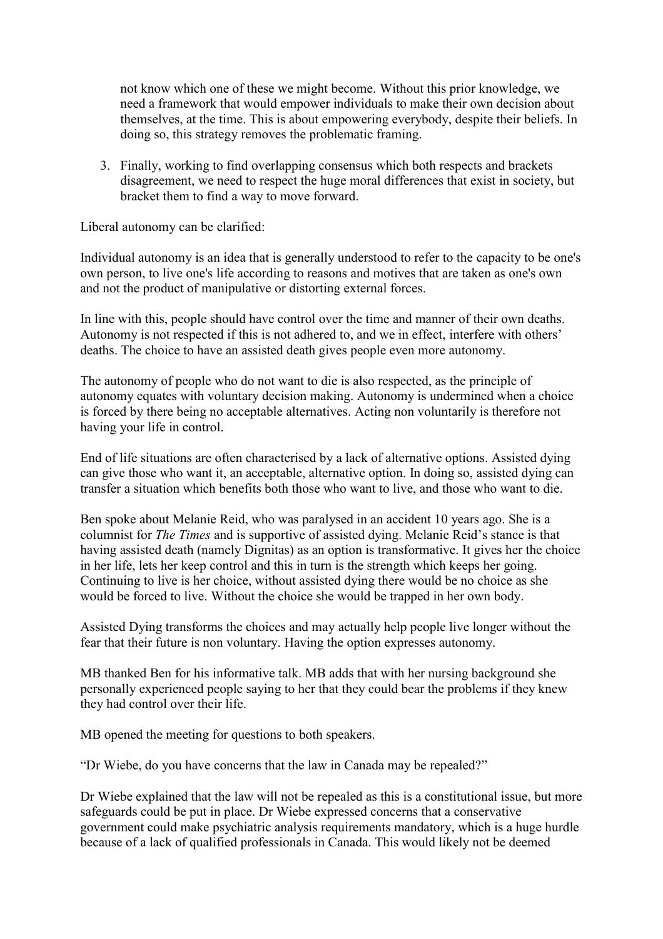not know which one of these we might become. Without this prior knowledge, we need a framework that would empower individuals to make their own decision about themselves, at the time. This is about empowering everybody, despite their beliefs. In doing so, this strategy removes the problematic framing.

3. Finally, working to find overlapping consensus which both respects and brackets disagreement, we need to respect the huge moral differences that exist in society, but bracket them to find a way to move forward.

Liberal autonomy can be clarified:

Individual autonomy is an idea that is generally understood to refer to the capacity to be one's own person, to live one's life according to reasons and motives that are taken as one's own and not the product of manipulative or distorting external forces.

In line with this, people should have control over the time and manner of their own deaths. Autonomy is not respected if this is not adhered to, and we in effect, interfere with others' deaths. The choice to have an assisted death gives people even more autonomy.

The autonomy of people who do not want to die is also respected, as the principle of autonomy equates with voluntary decision making. Autonomy is undermined when a choice is forced by there being no acceptable alternatives. Acting non voluntarily is therefore not having your life in control.

End of life situations are often characterised by a lack of alternative options. Assisted dying can give those who want it, an acceptable, alternative option. In doing so, assisted dying can transfer a situation which benefits both those who want to live, and those who want to die.

Ben spoke about Melanie Reid, who was paralysed in an accident 10 years ago. She is a columnist for *The Times* and is supportive of assisted dying. Melanie Reid's stance is that having assisted death (namely Dignitas) as an option is transformative. It gives her the choice in her life, lets her keep control and this in turn is the strength which keeps her going. Continuing to live is her choice, without assisted dying there would be no choice as she would be forced to live. Without the choice she would be trapped in her own body.

Assisted Dying transforms the choices and may actually help people live longer without the fear that their future is non voluntary. Having the option expresses autonomy.

MB thanked Ben for his informative talk. MB adds that with her nursing background she personally experienced people saying to her that they could bear the problems if they knew they had control over their life.

MB opened the meeting for questions to both speakers.

"Dr Wiebe, do you have concerns that the law in Canada may be repealed?"

Dr Wiebe explained that the law will not be repealed as this is a constitutional issue, but more safeguards could be put in place. Dr Wiebe expressed concerns that a conservative government could make psychiatric analysis requirements mandatory, which is a huge hurdle because of a lack of qualified professionals in Canada. This would likely not be deemed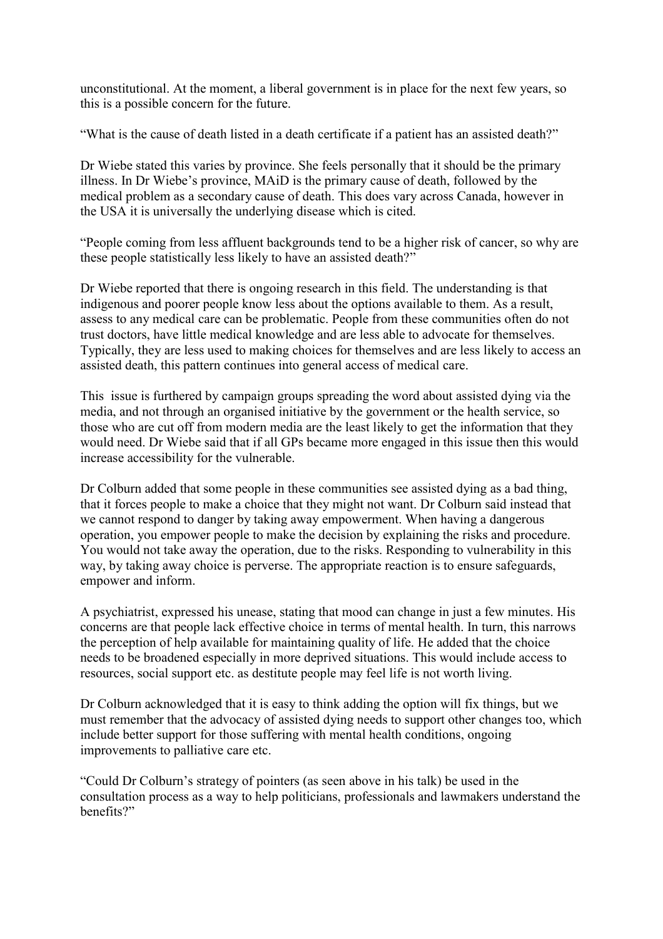unconstitutional. At the moment, a liberal government is in place for the next few years, so this is a possible concern for the future.

"What is the cause of death listed in a death certificate if a patient has an assisted death?"

Dr Wiebe stated this varies by province. She feels personally that it should be the primary illness. In Dr Wiebe's province, MAiD is the primary cause of death, followed by the medical problem as a secondary cause of death. This does vary across Canada, however in the USA it is universally the underlying disease which is cited.

"People coming from less affluent backgrounds tend to be a higher risk of cancer, so why are these people statistically less likely to have an assisted death?"

Dr Wiebe reported that there is ongoing research in this field. The understanding is that indigenous and poorer people know less about the options available to them. As a result, assess to any medical care can be problematic. People from these communities often do not trust doctors, have little medical knowledge and are less able to advocate for themselves. Typically, they are less used to making choices for themselves and are less likely to access an assisted death, this pattern continues into general access of medical care.

This issue is furthered by campaign groups spreading the word about assisted dying via the media, and not through an organised initiative by the government or the health service, so those who are cut off from modern media are the least likely to get the information that they would need. Dr Wiebe said that if all GPs became more engaged in this issue then this would increase accessibility for the vulnerable.

Dr Colburn added that some people in these communities see assisted dying as a bad thing, that it forces people to make a choice that they might not want. Dr Colburn said instead that we cannot respond to danger by taking away empowerment. When having a dangerous operation, you empower people to make the decision by explaining the risks and procedure. You would not take away the operation, due to the risks. Responding to vulnerability in this way, by taking away choice is perverse. The appropriate reaction is to ensure safeguards, empower and inform.

A psychiatrist, expressed his unease, stating that mood can change in just a few minutes. His concerns are that people lack effective choice in terms of mental health. In turn, this narrows the perception of help available for maintaining quality of life. He added that the choice needs to be broadened especially in more deprived situations. This would include access to resources, social support etc. as destitute people may feel life is not worth living.

Dr Colburn acknowledged that it is easy to think adding the option will fix things, but we must remember that the advocacy of assisted dying needs to support other changes too, which include better support for those suffering with mental health conditions, ongoing improvements to palliative care etc.

"Could Dr Colburn's strategy of pointers (as seen above in his talk) be used in the consultation process as a way to help politicians, professionals and lawmakers understand the benefits?"